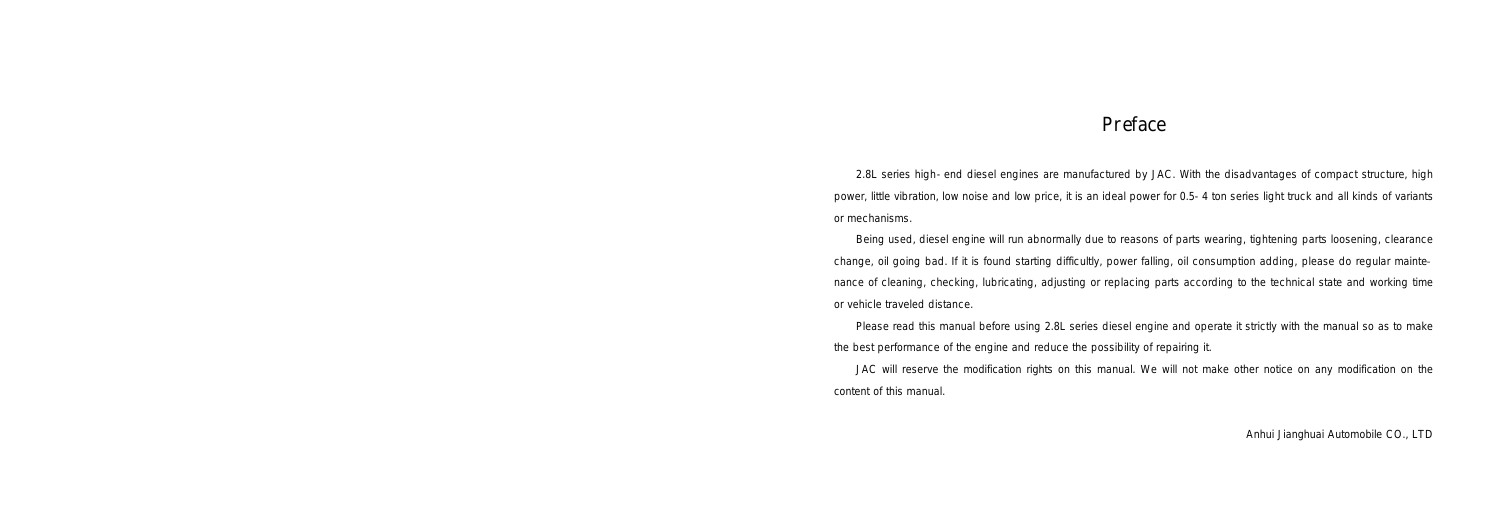2.8L series high-end diesel engines are manufactured by JAC. With the disadvantages of compact structure, high power, little vibration, low noise and low price, it is an ideal power for 0.5-4 ton series light truck and all kinds of variants or mechanisms.

Being used, diesel engine will run abnormally due to reasons of parts wearing, tightening parts loosening, clearance change, oil going bad. If it is found starting difficultly, power falling, oil consumption adding, please do regular maintenance of cleaning, checking, lubricating, adjusting or replacing parts according to the technical state and working time or vehicle traveled distance.

Please read this manual before using 2.8L series diesel engine and operate it strictly with the manual so as to make the best performance of the engine and reduce the possibility of repairing it. JAC will reserve the modification rights on this manual. We will not make other notice on any modification on the content of this manual.

Anhui Jianghuai Automobile CO., LTD

# Preface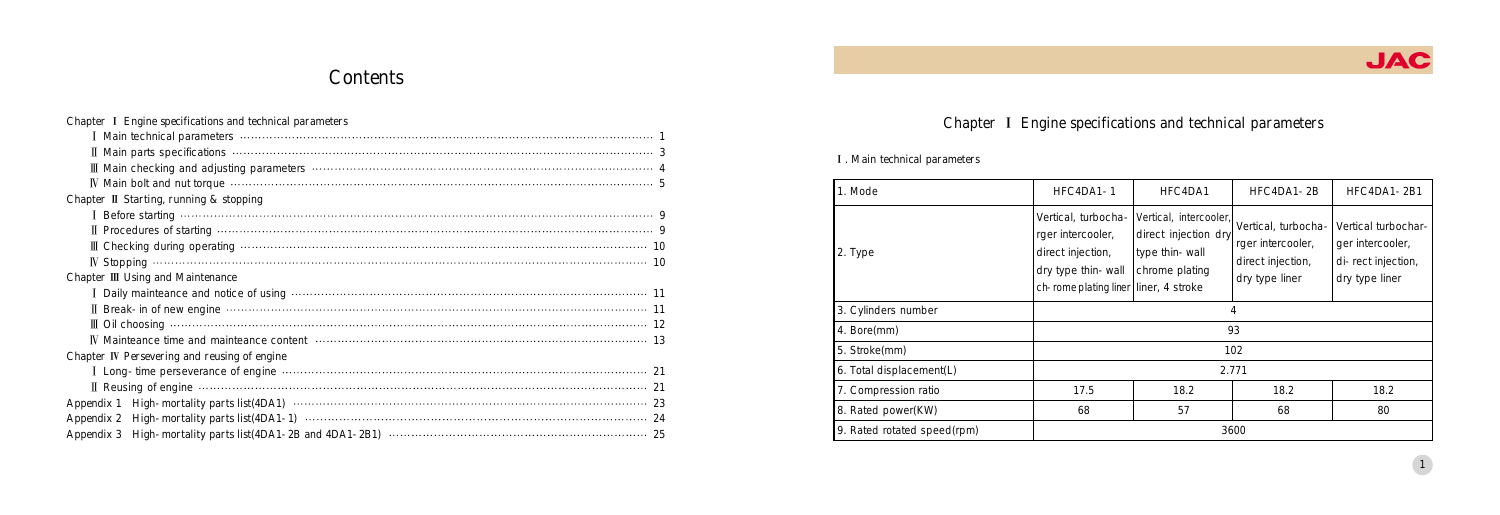# Contents

| Chapter I Engine specifications and technical parameters                    |
|-----------------------------------------------------------------------------|
|                                                                             |
|                                                                             |
|                                                                             |
|                                                                             |
| Chapter II Starting, running & stopping                                     |
|                                                                             |
|                                                                             |
|                                                                             |
|                                                                             |
| Chapter III Using and Maintenance                                           |
|                                                                             |
|                                                                             |
|                                                                             |
|                                                                             |
| Chapter IV Persevering and reusing of engine                                |
| I Long-time perseverance of engine manufactured contract the contract of 21 |
|                                                                             |
|                                                                             |
|                                                                             |
|                                                                             |

# Chapter I Engine specifications and technical parameters

## I. Main technical parameters

| 1. Mode                     | HFC4DA1-1                                                                                                                    | HFC4DA1                                                                            | HFC4DA1-2B                                                                      | HFC4DA1-2B1                                                                     |
|-----------------------------|------------------------------------------------------------------------------------------------------------------------------|------------------------------------------------------------------------------------|---------------------------------------------------------------------------------|---------------------------------------------------------------------------------|
| 2. Type                     | Vertical, turbocha-<br>rger intercooler,<br>direct injection,<br>dry type thin-wall<br>ch-rome plating liner liner, 4 stroke | Vertical, intercooler,<br>direct injection dry<br>type thin-wall<br>chrome plating | Vertical, turbocha-<br>rger intercooler,<br>direct injection,<br>dry type liner | Vertical turbochar-<br>ger intercooler,<br>di-rect injection,<br>dry type liner |
| 3. Cylinders number         | 4                                                                                                                            |                                                                                    |                                                                                 |                                                                                 |
| 4. Bore(mm)                 | 93                                                                                                                           |                                                                                    |                                                                                 |                                                                                 |
| 5. Stroke(mm)               | 102                                                                                                                          |                                                                                    |                                                                                 |                                                                                 |
| 6. Total displacement(L)    | 2.771                                                                                                                        |                                                                                    |                                                                                 |                                                                                 |
| 7. Compression ratio        | 17.5                                                                                                                         | 18.2                                                                               | 18.2                                                                            | 18.2                                                                            |
| 8. Rated power(KW)          | 68                                                                                                                           | 57                                                                                 | 68                                                                              | 80                                                                              |
| 9. Rated rotated speed(rpm) | 3600                                                                                                                         |                                                                                    |                                                                                 |                                                                                 |

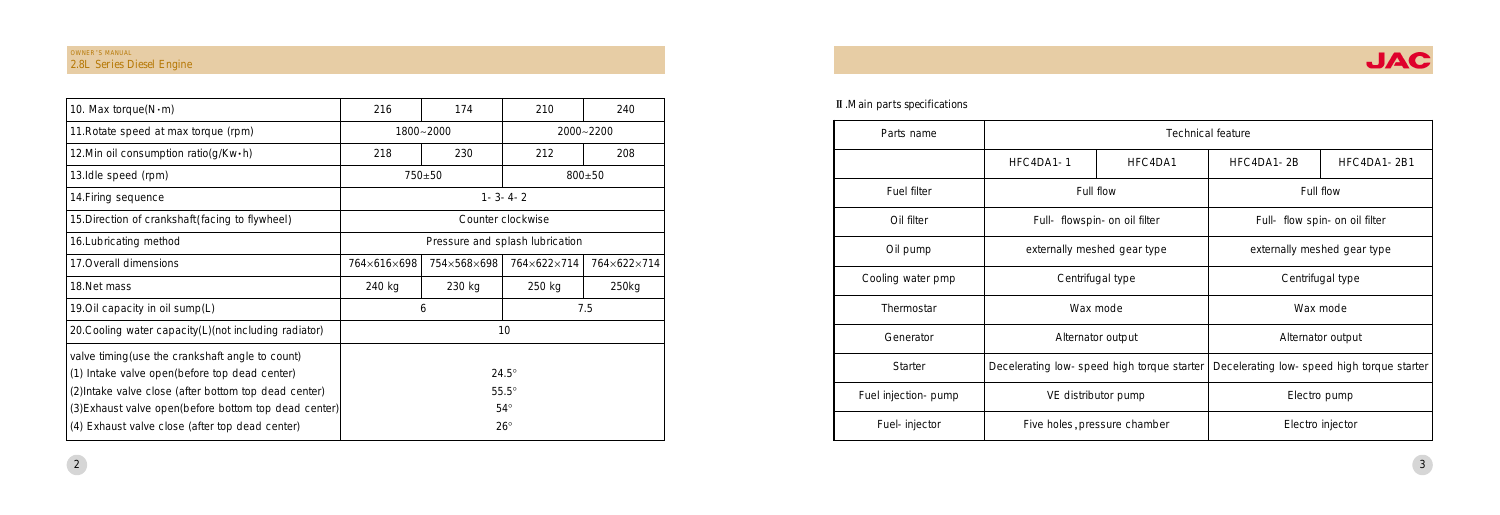| Parts name          | <b>Technical feature</b>                   |                              |                             |                                            |
|---------------------|--------------------------------------------|------------------------------|-----------------------------|--------------------------------------------|
|                     | HFC4DA1-1                                  | HFC4DA1                      | HFC4DA1-2B                  | HFC4DA1-2B1                                |
| <b>Fuel filter</b>  |                                            | Full flow                    | Full flow                   |                                            |
| Oil filter          |                                            | Full- flowspin-on oil filter |                             | Full- flow spin-on oil filter              |
| Oil pump            |                                            | externally meshed gear type  | externally meshed gear type |                                            |
| Cooling water pmp   | Centrifugal type                           |                              | Centrifugal type            |                                            |
| Thermostar          | Wax mode                                   |                              |                             | Wax mode                                   |
| Generator           | Alternator output                          |                              |                             | Alternator output                          |
| <b>Starter</b>      | Decelerating low-speed high torque starter |                              |                             | Decelerating low-speed high torque starter |
| Fuel injection-pump | VE distributor pump                        |                              |                             | Electro pump                               |
| Fuel-injector       |                                            | Five holes, pressure chamber |                             | Electro injector                           |

| 10. Max torque $(N \cdot m)$                           | 216                                       | 174        | 210               | 240           |  |
|--------------------------------------------------------|-------------------------------------------|------------|-------------------|---------------|--|
| 11. Rotate speed at max torque (rpm)                   |                                           | 1800~2000  |                   | $2000 - 2200$ |  |
| 12. Min oil consumption ratio(g/Kw·h)                  | 218                                       | 230        | 212               | 208           |  |
| 13.Idle speed (rpm)                                    |                                           | $750 + 50$ |                   | $800 + 50$    |  |
| 14. Firing sequence                                    |                                           |            | $1 - 3 - 4 - 2$   |               |  |
| 15. Direction of crankshaft (facing to flywheel)       |                                           |            | Counter clockwise |               |  |
| 16. Lubricating method                                 | Pressure and splash lubrication           |            |                   |               |  |
| 17. Overall dimensions                                 | 754×568×698<br>764×622×714<br>764×616×698 |            | 764×622×714       |               |  |
| 18.Net mass                                            | 240 kg                                    | 230 kg     | 250 kg            | 250kg         |  |
| 19. Oil capacity in oil sump(L)                        | 7.5<br>6                                  |            |                   |               |  |
| 20. Cooling water capacity(L) (not including radiator) | 10                                        |            |                   |               |  |
| valve timing (use the crankshaft angle to count)       |                                           |            |                   |               |  |
| (1) Intake valve open(before top dead center)          | $24.5^\circ$                              |            |                   |               |  |
| (2) Intake valve close (after bottom top dead center)  | $55.5^\circ$                              |            |                   |               |  |
| (3) Exhaust valve open (before bottom top dead center) | $54^\circ$                                |            |                   |               |  |
| (4) Exhaust valve close (after top dead center)        |                                           |            | $26^{\circ}$      |               |  |

## II . Main parts specifications

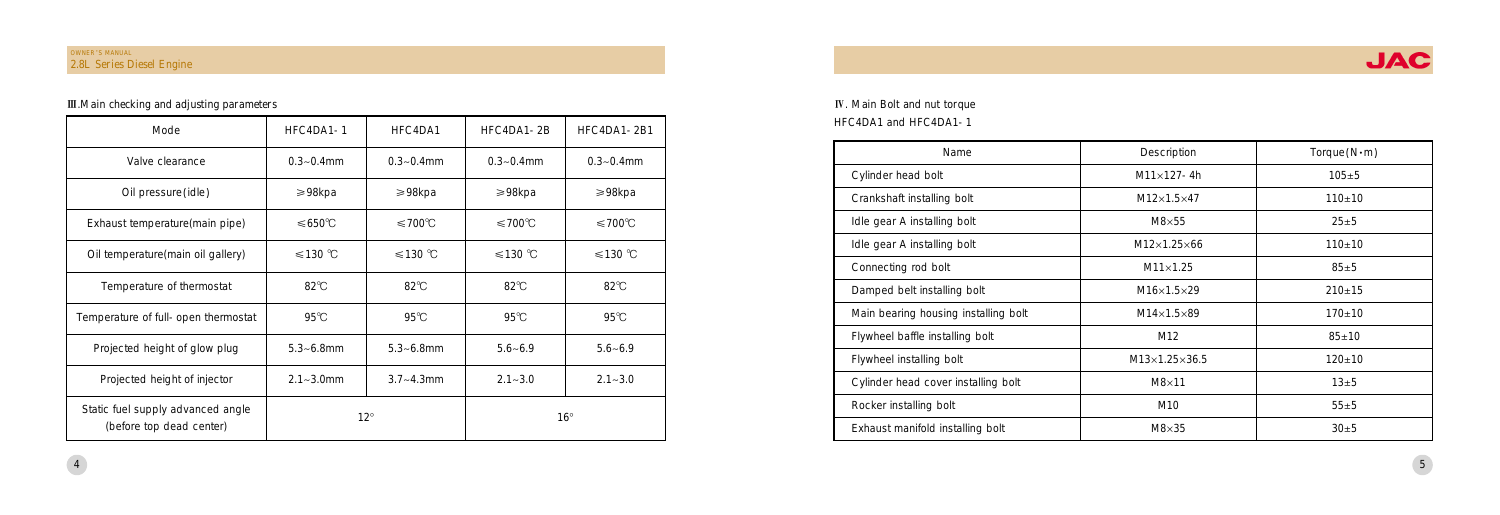| Name                                 | Description               | Torque(N·m) |
|--------------------------------------|---------------------------|-------------|
| Cylinder head bolt                   | $M11\times 127 - 4h$      | $105 + 5$   |
| Crankshaft installing bolt           | $M12\times1.5\times47$    | $110+10$    |
| Idle gear A installing bolt          | $M8\times 55$             | $25 + 5$    |
| Idle gear A installing bolt          | $M12\times1.25\times66$   | $110+10$    |
| Connecting rod bolt                  | $M11\times1.25$           | $85 \pm 5$  |
| Damped belt installing bolt          | $M16\times1.5\times29$    | $210+15$    |
| Main bearing housing installing bolt | $M14\times1.5\times89$    | $170 + 10$  |
| Flywheel baffle installing bolt      | M12                       | $85 + 10$   |
| Flywheel installing bolt             | $M13\times1.25\times36.5$ | $120 + 10$  |
| Cylinder head cover installing bolt  | $M8\times11$              | $13\pm5$    |
| Rocker installing bolt               | M10                       | $55 + 5$    |
| Exhaust manifold installing bolt     | $M8\times35$              | $30 + 5$    |

## IV. Main Bolt and nut torque HFC4DA1 and HFC4DA1-1

## OWNER'S MANUAL 2.8L Series Diesel Engine

## III. Main checking and adjusting parameters

| Mode                                                          | HFC4DA1-1        | HFC4DA1           | HFC4DA1-2B        | HFC4DA1-2B1       |
|---------------------------------------------------------------|------------------|-------------------|-------------------|-------------------|
| Valve clearance                                               | $0.3 - 0.4$ mm   | $0.3 - 0.4$ mm    | $0.3 - 0.4$ mm    | $0.3 - 0.4$ mm    |
| Oil pressure(idle)                                            | $\geq 98$ kpa    | $\geqslant$ 98kpa | $\geqslant$ 98kpa | $\geqslant$ 98kpa |
| Exhaust temperature (main pipe)                               | $≤650^{\circ}$ C | $≤700$ °C         | $≤700$ °C         | $≤700$ °C         |
| Oil temperature (main oil gallery)                            | $≤130$ °C        | $≤130$ °C         | $≤130$ °C         | $≤130$ °C         |
| Temperature of thermostat                                     | $82^{\circ}$ C   | $82^{\circ}$ C    | $82^{\circ}$ C    | $82^{\circ}$ C    |
| Temperature of full-open thermostat                           | $95^\circ C$     | $95^\circ$ C      | $95^{\circ}$ C    | $95^{\circ}$ C    |
| Projected height of glow plug                                 | $5.3 - 6.8$ mm   | $5.3 - 6.8$ mm    | $5.6 - 6.9$       | $5.6 - 6.9$       |
| Projected height of injector                                  | $2.1 - 3.0$ mm   | $3.7 - 4.3$ mm    | $2.1 - 3.0$       | $2.1 - 3.0$       |
| Static fuel supply advanced angle<br>(before top dead center) | $12^{\circ}$     |                   |                   | $16^{\circ}$      |

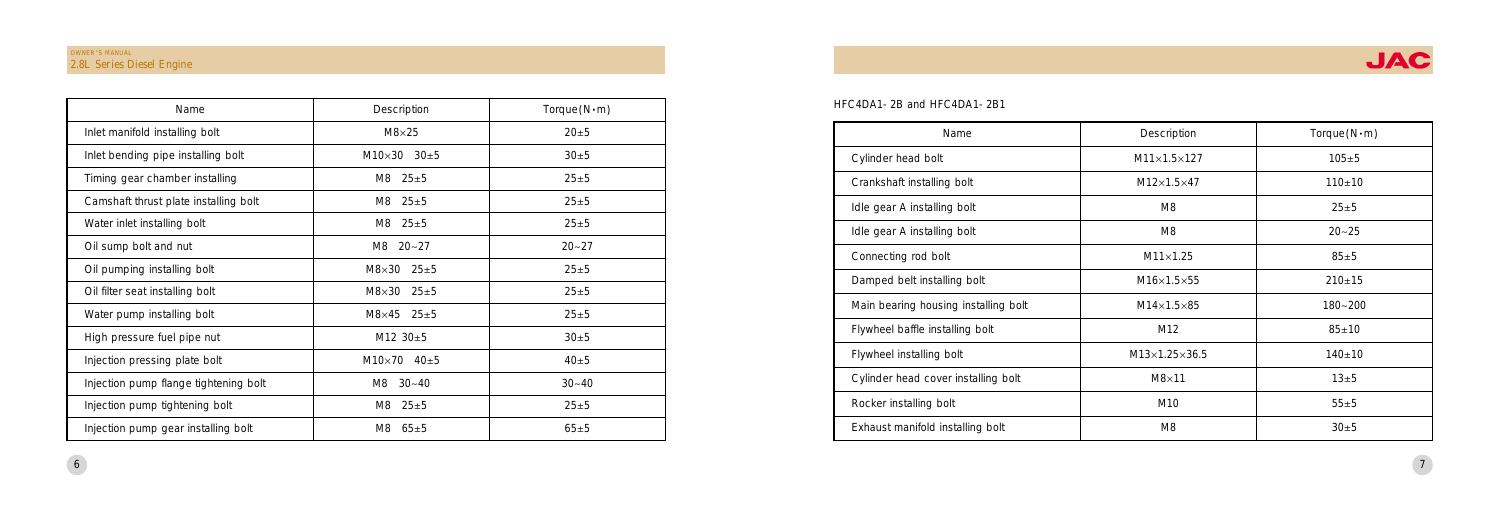| Name                                 | Description               | Torque(N·m) |
|--------------------------------------|---------------------------|-------------|
| Cylinder head bolt                   | $M11\times1.5\times127$   | $105 + 5$   |
| Crankshaft installing bolt           | $M12\times1.5\times47$    | $110+10$    |
| Idle gear A installing bolt          | M8                        | $25 + 5$    |
| Idle gear A installing bolt          | M8                        | $20 - 25$   |
| Connecting rod bolt                  | $M11\times1.25$           | $85 \pm 5$  |
| Damped belt installing bolt          | $M16\times1.5\times55$    | $210+15$    |
| Main bearing housing installing bolt | $M14\times1.5\times85$    | $180 - 200$ |
| Flywheel baffle installing bolt      | M12                       | $85 + 10$   |
| Flywheel installing bolt             | $M13\times1.25\times36.5$ | $140 + 10$  |
| Cylinder head cover installing bolt  | $M8\times11$              | $13\pm5$    |
| Rocker installing bolt               | M10                       | $55 + 5$    |
| Exhaust manifold installing bolt     | M8                        | $30 + 5$    |

| Name                                  | <b>Description</b>        | Torque(N·m) |
|---------------------------------------|---------------------------|-------------|
| Inlet manifold installing bolt        | $M8\times25$              | $20 + 5$    |
| Inlet bending pipe installing bolt    | $M10\times30$ 30 $\pm$ 5  | $30 + 5$    |
| Timing gear chamber installing        | M8<br>$25 + 5$            | $25 + 5$    |
| Camshaft thrust plate installing bolt | $25 + 5$<br>M8.           | $25 + 5$    |
| Water inlet installing bolt           | $M8$ 25 $\pm$ 5           | $25 + 5$    |
| Oil sump bolt and nut                 | $M8$ 20~27                | $20 - 27$   |
| Oil pumping installing bolt           | $M8\times30$ 25 $\pm5$    | $25 + 5$    |
| Oil filter seat installing bolt       | $M8\times30$ 25 $\pm5$    | $25 + 5$    |
| Water pump installing bolt            | $M8\times 45$ 25 $\pm 5$  | $25 + 5$    |
| High pressure fuel pipe nut           | M12 $30±5$                | 30±5        |
| Injection pressing plate bolt         | $M10\times 70$ 40 $\pm 5$ | $40\pm5$    |
| Injection pump flange tightening bolt | $30 - 40$<br>M8           | $30 - 40$   |
| Injection pump tightening bolt        | $25 + 5$<br>M8            | $25 + 5$    |
| Injection pump gear installing bolt   | $65 + 5$<br>M8.           | $65 + 5$    |

#### HFC4DA1-2B and HFC4DA1-2B1

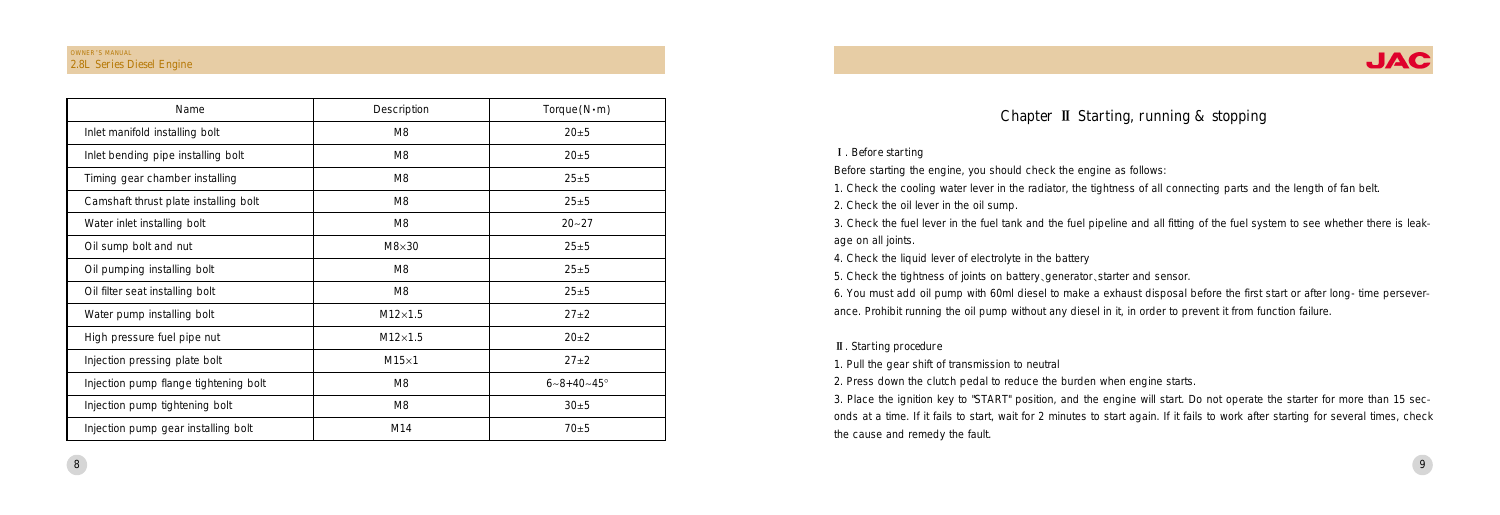| Name                                  | <b>Description</b> | $Torque(N \cdot m)$       |
|---------------------------------------|--------------------|---------------------------|
| Inlet manifold installing bolt        | M8                 | $20 + 5$                  |
| Inlet bending pipe installing bolt    | M8                 | $20 + 5$                  |
| Timing gear chamber installing        | M8                 | $25 + 5$                  |
| Camshaft thrust plate installing bolt | M8                 | $25 + 5$                  |
| Water inlet installing bolt           | M8                 | $20 - 27$                 |
| Oil sump bolt and nut                 | $M8\times30$       | $25 + 5$                  |
| Oil pumping installing bolt           | M8                 | $25 + 5$                  |
| Oil filter seat installing bolt       | M8                 | $25 + 5$                  |
| Water pump installing bolt            | $M12\times1.5$     | $27+2$                    |
| High pressure fuel pipe nut           | $M12\times1.5$     | $20+2$                    |
| Injection pressing plate bolt         | $M15\times1$       | $27 + 2$                  |
| Injection pump flange tightening bolt | M8                 | $6 - 8 + 40 - 45^{\circ}$ |
| Injection pump tightening bolt        | M8                 | 30±5                      |
| Injection pump gear installing bolt   | M14                | $70\pm5$                  |

## Chapter II Starting, running & stopping

#### I. Before starting

Before starting the engine, you should check the engine as follows:

1. Check the cooling water lever in the radiator, the tightness of all connecting parts and the length of fan belt.

2. Check the oil lever in the oil sump.

3. Check the fuel lever in the fuel tank and the fuel pipeline and all fitting of the fuel system to see whether there is leakage on all joints.

4. Check the liquid lever of electrolyte in the battery

5. Check the tightness of joints on battery, generator, starter and sensor. 6. You must add oil pump with 60ml diesel to make a exhaust disposal before the first start or after long-time perseverance. Prohibit running the oil pump without any diesel in it, in order to prevent it from function failure.

## II. Starting procedure

1. Pull the gear shift of transmission to neutral

2. Press down the clutch pedal to reduce the burden when engine starts. 3. Place the ignition key to "START" position, and the engine will start. Do not operate the starter for more than 15 seconds at a time. If it fails to start, wait for 2 minutes to start again. If it fails to work after starting for several times, check the cause and remedy the fault.

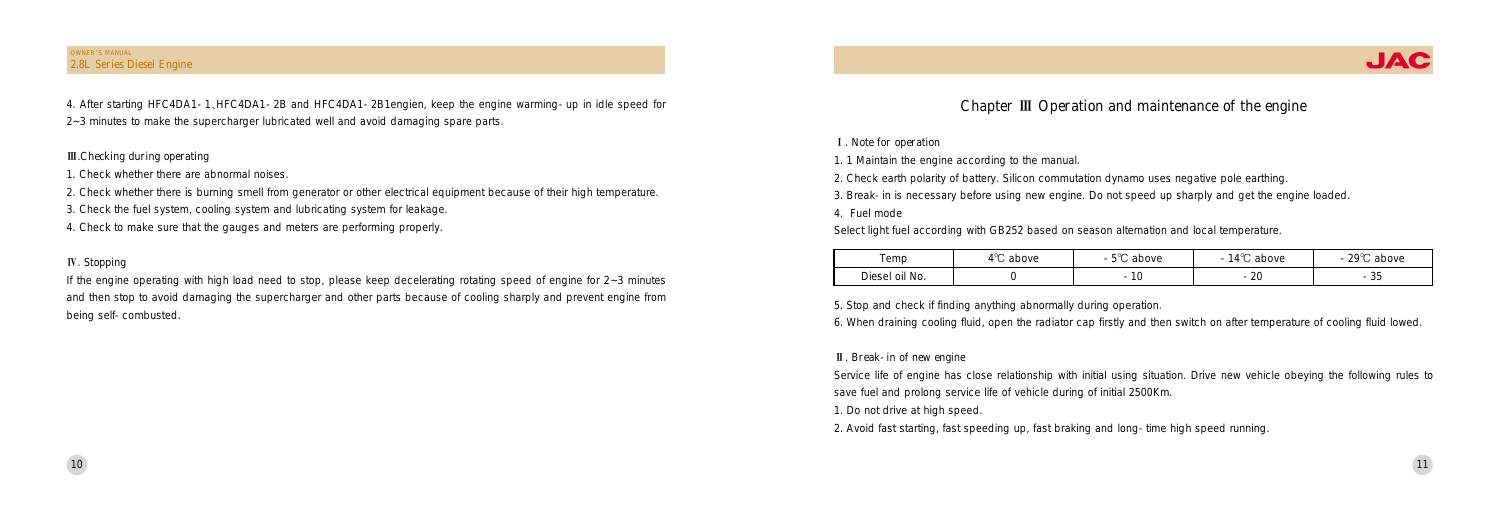| emp                                   | $\sim$<br>above | r og<br>above      | 1.0 <sup>o</sup><br>above<br>$\overline{\phantom{a}}$ | റ∩ഗ<br>above<br>$\overline{\phantom{a}}$ |
|---------------------------------------|-----------------|--------------------|-------------------------------------------------------|------------------------------------------|
| - -<br><sup>1</sup> oil No.<br>Diesel |                 | $\sim$<br>-<br>1 V | ററ<br>-<br>⊾∠                                         | $\sim$ $-$<br>-<br>ູບປ                   |

- 玉. Note for operation
- 1. 1 Maintain the engine according to the manual.
- 2. Check earth polarity of battery. Silicon commutation dynamo uses negative pole earthing.
- 3. Break-in is necessary before using new engine. Do not speed up sharply and get the engine loaded.
- 4. Fuel mode

Select light fuel according with GB252 based on season alternation and local temperature.

5. Stop and check if finding anything abnormally during operation. 6. When draining cooling fluid, open the radiator cap firstly and then switch on after temperature of cooling fluid lowed.

II. Break-in of new engine

Service life of engine has close relationship with initial using situation. Drive new vehicle obeying the following rules to save fuel and prolong service life of vehicle during of initial 2500Km. 1. Do not drive at high speed.

### OWNER'S MANUAL 2.8L Series Diesel Engine

2. Avoid fast starting, fast speeding up, fast braking and long-time high speed running.



10

4. After starting HFC4DA1-1尧HFC4DA1-2B and HFC4DA1-2B1engien, keep the engine warming-up in idle speed for 2~3 minutes to make the supercharger lubricated well and avoid damaging spare parts.

## III. Checking during operating

- 1. Check whether there are abnormal noises.
- 2. Check whether there is burning smell from generator or other electrical equipment because of their high temperature.
- 3. Check the fuel system, cooling system and lubricating system for leakage.
- 4. Check to make sure that the gauges and meters are performing properly.

## IV. Stopping

If the engine operating with high load need to stop, please keep decelerating rotating speed of engine for 2~3 minutes and then stop to avoid damaging the supercharger and other parts because of cooling sharply and prevent engine from being self-combusted.

## Chapter III Operation and maintenance of the engine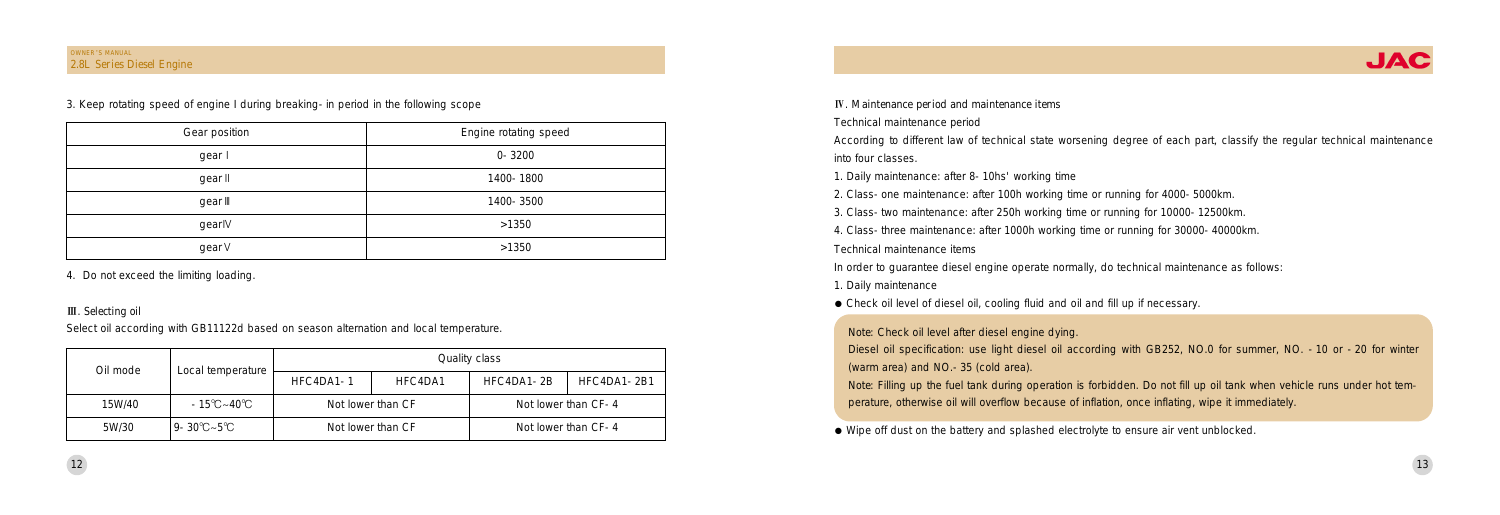Technical maintenance period

According to different law of technical state worsening degree of each part, classify the regular technical maintenance into four classes.

- 1. Daily maintenance
- Check oil level of diesel oil, cooling fluid and oil and fill up if necessary.
- 1. Daily maintenance: after 8-10hs' working time
- 2. Class-one maintenance: after 100h working time or running for 4000-5000km.
- 3. Class-two maintenance: after 250h working time or running for 10000-12500km.
- 4. Class-three maintenance: after 1000h working time or running for 30000-40000km.
- Technical maintenance items

In order to guarantee diesel engine operate normally, do technical maintenance as follows:

Note: Filling up the fuel tank during operation is forbidden. Do not fill up oil tank when vehicle runs under hot temperature, otherwise oil will overflow because of inflation, once inflating, wipe it immediately.

<sup>荫</sup> Wipe off dust on the battery and splashed electrolyte to ensure air vent unblocked.

Note: Check oil level after diesel engine dying.

## OWNER'S MANUAL 2.8L Series Diesel Engine

Diesel oil specification: use light diesel oil according with GB252, NO.0 for summer, NO. -10 or -20 for winter (warm area) and NO.-35 (cold area).

| Oil mode | Local temperature |                   |         | Quality class |                     |
|----------|-------------------|-------------------|---------|---------------|---------------------|
|          |                   | HFC4DA1-1         | HFC4DA1 | HFC4DA1-2B    | HFC4DA1-2B1         |
| 15W/40   | -15℃~40℃          | Not lower than CF |         |               | Not lower than CF-4 |
| 5W/30    | 9-30℃~5℃          | Not lower than CF |         |               | Not lower than CF-4 |

IV. Maintenance period and maintenance items

| Gear position | Engine rotating speed |
|---------------|-----------------------|
| gear l        | $0 - 3200$            |
| gear II       | 1400-1800             |
| gear III      | 1400-3500             |
| gearly        | >1350                 |
| gear V        | >1350                 |



3. Keep rotating speed of engine I during breaking-in period in the following scope

4. Do not exceed the limiting loading.

## **III.** Selecting oil

Select oil according with GB11122d based on season alternation and local temperature.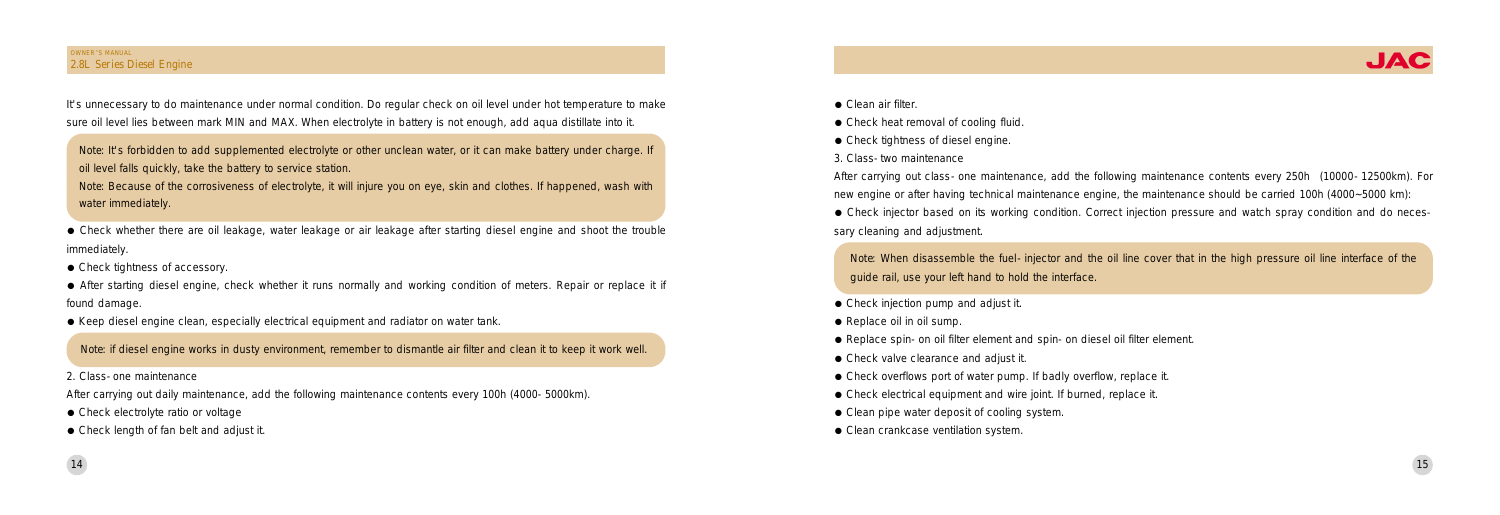- Check heat removal of cooling fluid.
- Check tightness of diesel engine.
- 3. Class-two maintenance

After carrying out class-one maintenance, add the following maintenance contents every 250h (10000-12500km). For new engine or after having technical maintenance engine, the maintenance should be carried 100h (4000~5000 km): • Check injector based on its working condition. Correct injection pressure and watch spray condition and do necessary cleaning and adjustment.

• Check whether there are oil leakage, water leakage or air leakage after starting diesel engine and shoot the trouble immediately.

• Check tightness of accessory.

• After starting diesel engine, check whether it runs normally and working condition of meters. Repair or replace it if found damage.

• Keep diesel engine clean, especially electrical equipment and radiator on water tank.

Note: When disassemble the fuel-injector and the oil line cover that in the high pressure oil line interface of the guide rail, use your left hand to hold the interface.

- Check injection pump and adjust it.
- Replace oil in oil sump.
- <sup>荫</sup> Replace spin-on oil filter element and spin-on diesel oil filter element.
- Check valve clearance and adjust it.
- Check overflows port of water pump. If badly overflow, replace it.
- <sup>荫</sup> Check electrical equipment and wire joint. If burned, replace it.
- Clean pipe water deposit of cooling system.
- Clean crankcase ventilation system.

It's unnecessary to do maintenance under normal condition. Do regular check on oil level under hot temperature to make sure oil level lies between mark MIN and MAX. When electrolyte in battery is not enough, add aqua distillate into it.

## OWNER'S MANUAL 2.8L Series Diesel Engine

2. Class-one maintenance

After carrying out daily maintenance, add the following maintenance contents every 100h (4000-5000km).

- Check electrolyte ratio or voltage
- Check length of fan belt and adjust it.

● Clean air filter.



Note: It's forbidden to add supplemented electrolyte or other unclean water, or it can make battery under charge. If oil level falls quickly, take the battery to service station.

Note: Because of the corrosiveness of electrolyte, it will injure you on eye, skin and clothes. If happened, wash with water immediately.

Note: if diesel engine works in dusty environment, remember to dismantle air filter and clean it to keep it work well.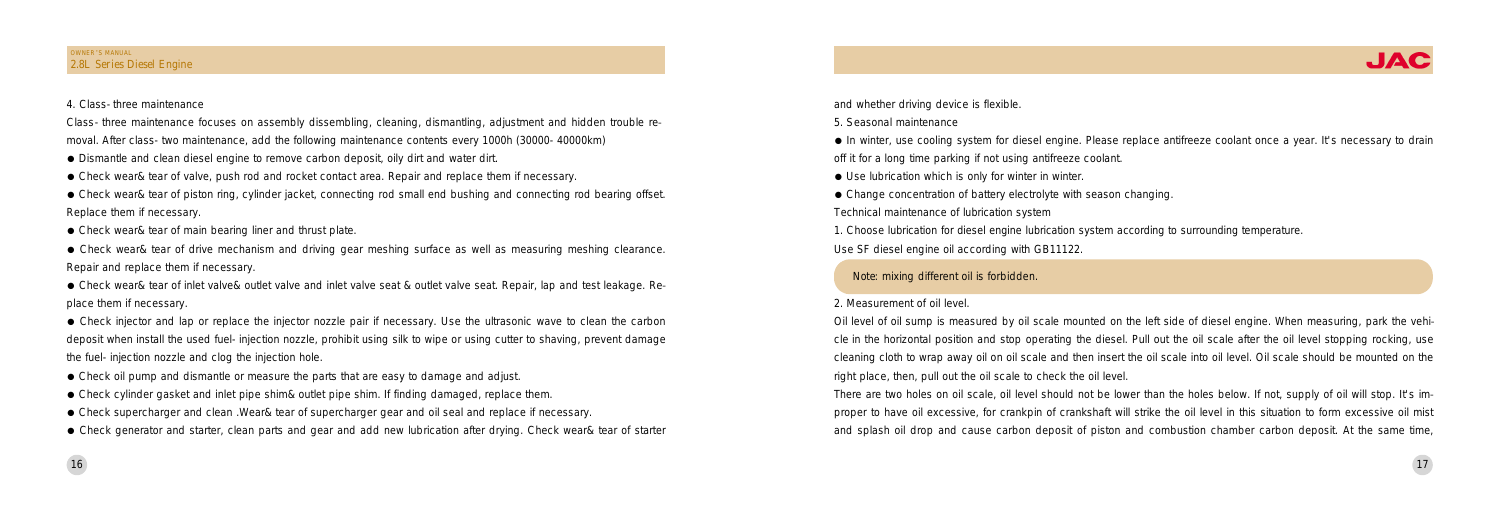and whether driving device is flexible.

5. Seasonal maintenance

<sup>荫</sup> In winter, use cooling system for diesel engine. Please replace antifreeze coolant once a year. It's necessary to drain off it for a long time parking if not using antifreeze coolant.

 $\bullet$  Use lubrication which is only for winter in winter.

• Change concentration of battery electrolyte with season changing. Technical maintenance of lubrication system

1. Choose lubrication for diesel engine lubrication system according to surrounding temperature. Use SF diesel engine oil according with GB11122.

## 2. Measurement of oil level.

Oil level of oil sump is measured by oil scale mounted on the left side of diesel engine. When measuring, park the vehicle in the horizontal position and stop operating the diesel. Pull out the oil scale after the oil level stopping rocking, use cleaning cloth to wrap away oil on oil scale and then insert the oil scale into oil level. Oil scale should be mounted on the right place, then, pull out the oil scale to check the oil level. There are two holes on oil scale, oil level should not be lower than the holes below. If not, supply of oil will stop. It's improper to have oil excessive, for crankpin of crankshaft will strike the oil level in this situation to form excessive oil mist and splash oil drop and cause carbon deposit of piston and combustion chamber carbon deposit. At the same time,



Class-three maintenance focuses on assembly dissembling, cleaning, dismantling, adjustment and hidden trouble removal. After class-two maintenance, add the following maintenance contents every 1000h (30000-40000km)

• Dismantle and clean diesel engine to remove carbon deposit, oily dirt and water dirt.

• Check wear& tear of piston ring, cylinder jacket, connecting rod small end bushing and connecting rod bearing offset. Replace them if necessary.

● Check wear& tear of main bearing liner and thrust plate.

• Check wear& tear of inlet valve& outlet valve and inlet valve seat & outlet valve seat. Repair, lap and test leakage. Replace them if necessary.

Note: mixing different oil is forbidden.

16

## 4. Class-three maintenance

- Check oil pump and dismantle or measure the parts that are easy to damage and adjust.
- <sup>荫</sup> Check cylinder gasket and inlet pipe shim& outlet pipe shim. If finding damaged, replace them.
- <sup>荫</sup> Check supercharger and clean .Wear& tear of supercharger gear and oil seal and replace if necessary.

<sup>荫</sup> Check wear& tear of valve, push rod and rocket contact area. Repair and replace them if necessary.

<sup>荫</sup> Check wear& tear of drive mechanism and driving gear meshing surface as well as measuring meshing clearance. Repair and replace them if necessary.

<sup>荫</sup> Check injector and lap or replace the injector nozzle pair if necessary. Use the ultrasonic wave to clean the carbon deposit when install the used fuel-injection nozzle, prohibit using silk to wipe or using cutter to shaving, prevent damage the fuel-injection nozzle and clog the injection hole.

<sup>荫</sup> Check generator and starter, clean parts and gear and add new lubrication after drying. Check wear& tear of starter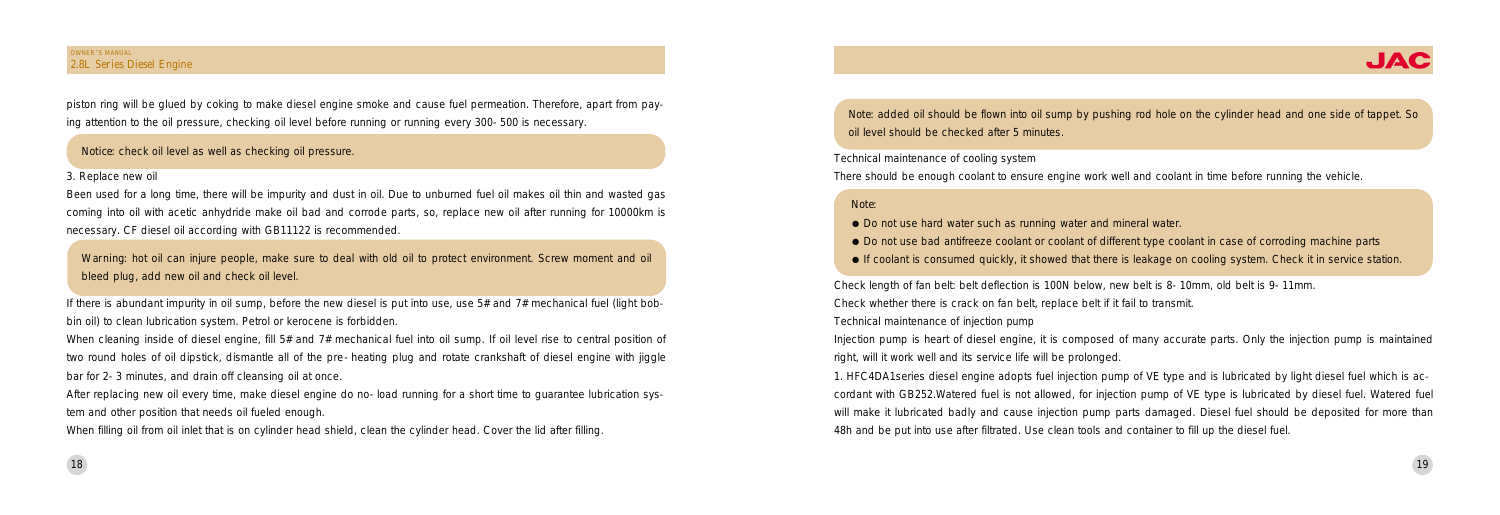Technical maintenance of cooling system There should be enough coolant to ensure engine work well and coolant in time before running the vehicle.

Check length of fan belt: belt deflection is 100N below, new belt is 8-10mm, old belt is 9-11mm. Check whether there is crack on fan belt, replace belt if it fail to transmit. Technical maintenance of injection pump Injection pump is heart of diesel engine, it is composed of many accurate parts. Only the injection pump is maintained right, will it work well and its service life will be prolonged. 1. HFC4DA1series diesel engine adopts fuel injection pump of VE type and is lubricated by light diesel fuel which is accordant with GB252.Watered fuel is not allowed, for injection pump of VE type is lubricated by diesel fuel. Watered fuel will make it lubricated badly and cause injection pump parts damaged. Diesel fuel should be deposited for more than 48h and be put into use after filtrated. Use clean tools and container to fill up the diesel fuel.

piston ring will be glued by coking to make diesel engine smoke and cause fuel permeation. Therefore, apart from paying attention to the oil pressure, checking oil level before running or running every 300-500 is necessary.

## Note:

- $\bullet$  Do not use hard water such as running water and mineral water.
- 
- If coolant is consumed quickly, it showed that there is leakage on cooling system. Check it in service station.

If there is abundant impurity in oil sump, before the new diesel is put into use, use  $5#$  and  $7#$  mechanical fuel (light bobbin oil) to clean lubrication system. Petrol or kerocene is forbidden.

When cleaning inside of diesel engine, fill 5# and 7# mechanical fuel into oil sump. If oil level rise to central position of two round holes of oil dipstick, dismantle all of the pre-heating plug and rotate crankshaft of diesel engine with jiggle bar for 2-3 minutes, and drain off cleansing oil at once.

After replacing new oil every time, make diesel engine do no-load running for a short time to guarantee lubrication system and other position that needs oil fueled enough.

When filling oil from oil inlet that is on cylinder head shield, clean the cylinder head. Cover the lid after filling.

Note: added oil should be flown into oil sump by pushing rod hole on the cylinder head and one side of tappet. So oil level should be checked after 5 minutes.

## OWNER'S MANUAL 2.8L Series Diesel Engine

## 3. Replace new oil

Been used for a long time, there will be impurity and dust in oil. Due to unburned fuel oil makes oil thin and wasted gas coming into oil with acetic anhydride make oil bad and corrode parts, so, replace new oil after running for 10000km is necessary. CF diesel oil according with GB11122 is recommended.



• Do not use bad antifreeze coolant or coolant of different type coolant in case of corroding machine parts

Notice: check oil level as well as checking oil pressure.

Warning: hot oil can injure people, make sure to deal with old oil to protect environment. Screw moment and oil bleed plug, add new oil and check oil level.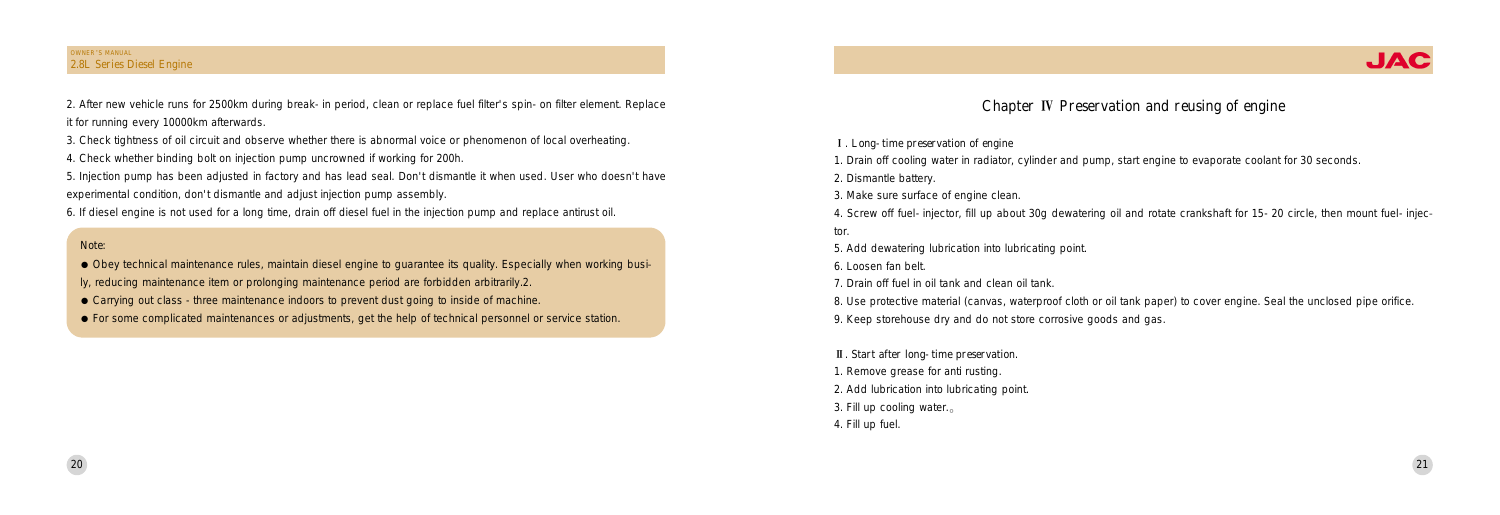- 玉. Long-time preservation of engine
- 1. Drain off cooling water in radiator, cylinder and pump, start engine to evaporate coolant for 30 seconds.
- 2. Dismantle battery.
- 3. Make sure surface of engine clean.
- tor.
- 5. Add dewatering lubrication into lubricating point.
- 6. Loosen fan belt.
- 7. Drain off fuel in oil tank and clean oil tank.
- 
- 9. Keep storehouse dry and do not store corrosive goods and gas.
- II. Start after long-time preservation.
- 1. Remove grease for anti rusting.
- 2. Add lubrication into lubricating point.
- 3. Fill up cooling water. $\alpha$
- 4. Fill up fuel.

8. Use protective material (canvas, waterproof cloth or oil tank paper) to cover engine. Seal the unclosed pipe orifice.

2. After new vehicle runs for 2500km during break-in period, clean or replace fuel filter's spin-on filter element. Replace it for running every 10000km afterwards.

## OWNER'S MANUAL 2.8L Series Diesel Engine

3. Check tightness of oil circuit and observe whether there is abnormal voice or phenomenon of local overheating.

4. Check whether binding bolt on injection pump uncrowned if working for 200h.

5. Injection pump has been adjusted in factory and has lead seal. Don't dismantle it when used. User who doesn't have experimental condition, don't dismantle and adjust injection pump assembly.

6. If diesel engine is not used for a long time, drain off diesel fuel in the injection pump and replace antirust oil.

## Note:

• Obey technical maintenance rules, maintain diesel engine to quarantee its quality. Especially when working busi-

- ly, reducing maintenance item or prolonging maintenance period are forbidden arbitrarily.2.
- <sup>荫</sup> Carrying out class -three maintenance indoors to prevent dust going to inside of machine.
- <sup>荫</sup> For some complicated maintenances or adjustments, get the help of technical personnel or service station.

## Chapter IV Preservation and reusing of engine



4. Screw off fuel-injector, fill up about 30g dewatering oil and rotate crankshaft for 15-20 circle, then mount fuel-injec-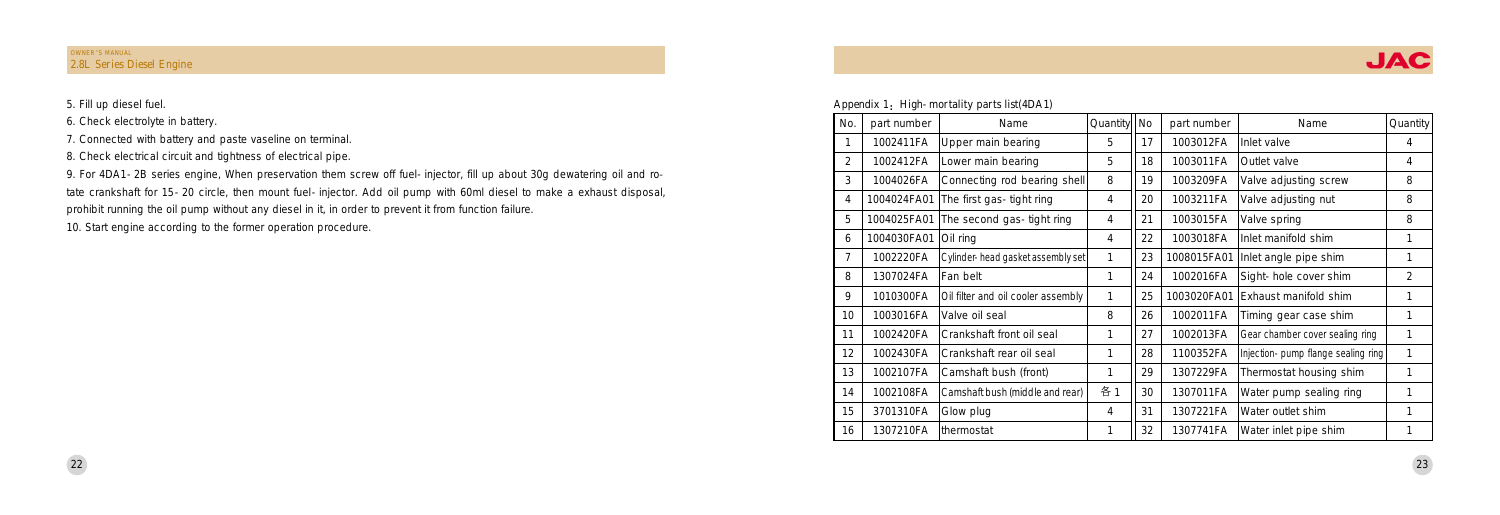| No.            | part number | Name                               | Quantity | No | part number | Name                               | Quantity |
|----------------|-------------|------------------------------------|----------|----|-------------|------------------------------------|----------|
|                | 1002411FA   | Upper main bearing                 | 5        | 17 | 1003012FA   | Inlet valve                        | 4        |
| $\overline{2}$ | 1002412FA   | Lower main bearing                 | 5        | 18 | 1003011FA   | Outlet valve                       | 4        |
| 3              | 1004026FA   | Connecting rod bearing shell       | 8        | 19 | 1003209FA   | Valve adjusting screw              | 8        |
| 4              | 1004024FA01 | The first gas-tight ring           | 4        | 20 | 1003211FA   | Valve adjusting nut                | 8        |
| 5              | 1004025FA01 | The second gas-tight ring          | 4        | 21 | 1003015FA   | Valve spring                       | 8        |
| 6              | 1004030FA01 | Oil ring                           | 4        | 22 | 1003018FA   | Inlet manifold shim                | 1        |
| 7              | 1002220FA   | Cylinder-head gasket assembly set  | 1        | 23 | 1008015FA01 | Inlet angle pipe shim              | 1        |
| 8              | 1307024FA   | Fan belt                           | 1        | 24 | 1002016FA   | Sight-hole cover shim              | 2        |
| 9              | 1010300FA   | Oil filter and oil cooler assembly | 1        | 25 | 1003020FA01 | Exhaust manifold shim              | 1        |
| 10             | 1003016FA   | Valve oil seal                     | 8        | 26 | 1002011FA   | Timing gear case shim              | 1        |
| 11             | 1002420FA   | Crankshaft front oil seal          | 1        | 27 | 1002013FA   | Gear chamber cover sealing ring    | 1        |
| 12             | 1002430FA   | Crankshaft rear oil seal           | 1        | 28 | 1100352FA   | Injection-pump flange sealing ring | 1        |
| 13             | 1002107FA   | Camshaft bush (front)              | 1        | 29 | 1307229FA   | Thermostat housing shim            | 1        |
| 14             | 1002108FA   | Camshaft bush (middle and rear)    | 各1       | 30 | 1307011FA   | Water pump sealing ring            | 1        |
| 15             | 3701310FA   | Glow plug                          | 4        | 31 | 1307221FA   | Water outlet shim                  | 1        |
| 16             | 1307210FA   | thermostat                         | 1        | 32 | 1307741FA   | Water inlet pipe shim              | 1        |

9. For 4DA1-2B series engine, When preservation them screw off fuel-injector, fill up about 30g dewatering oil and rotate crankshaft for 15-20 circle, then mount fuel-injector. Add oil pump with 60ml diesel to make a exhaust disposal, prohibit running the oil pump without any diesel in it, in order to prevent it from function failure.

5. Fill up diesel fuel.

- 6. Check electrolyte in battery.
- 7. Connected with battery and paste vaseline on terminal.
- 8. Check electrical circuit and tightness of electrical pipe.

10. Start engine according to the former operation procedure.

Appendix 1: High-mortality parts list(4DA1)